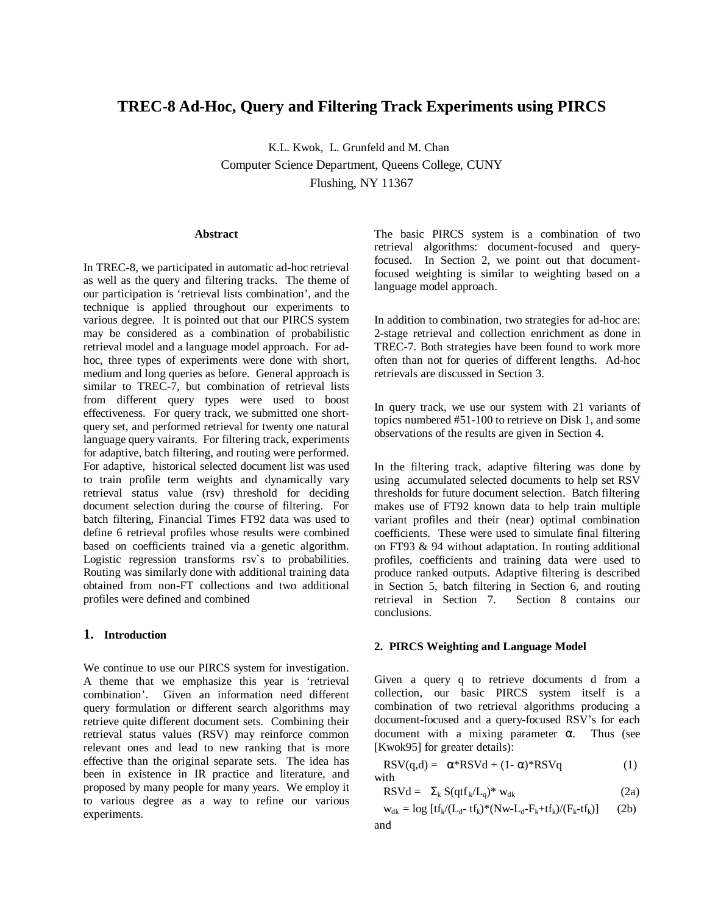# **TREC-8 Ad-Hoc, Query and Filtering Track Experiments using PIRCS**

K.L. Kwok, L. Grunfeld and M. Chan Computer Science Department, Queens College, CUNY Flushing, NY 11367

#### **Abstract**

In TREC-8, we participated in automatic ad-hoc retrieval as well as the query and filtering tracks. The theme of our participation is 'retrieval lists combination', and the technique is applied throughout our experiments to various degree. It is pointed out that our PIRCS system may be considered as a combination of probabilistic retrieval model and a language model approach. For adhoc, three types of experiments were done with short, medium and long queries as before. General approach is similar to TREC-7, but combination of retrieval lists from different query types were used to boost effectiveness. For query track, we submitted one shortquery set, and performed retrieval for twenty one natural language query vairants. For filtering track, experiments for adaptive, batch filtering, and routing were performed. For adaptive, historical selected document list was used to train profile term weights and dynamically vary retrieval status value (rsv) threshold for deciding document selection during the course of filtering. For batch filtering, Financial Times FT92 data was used to define 6 retrieval profiles whose results were combined based on coefficients trained via a genetic algorithm. Logistic regression transforms rsv`s to probabilities. Routing was similarly done with additional training data obtained from non-FT collections and two additional profiles were defined and combined

### **1. Introduction**

We continue to use our PIRCS system for investigation. A theme that we emphasize this year is 'retrieval combination'. Given an information need different query formulation or different search algorithms may retrieve quite different document sets. Combining their retrieval status values (RSV) may reinforce common relevant ones and lead to new ranking that is more effective than the original separate sets. The idea has been in existence in IR practice and literature, and proposed by many people for many years. We employ it to various degree as a way to refine our various experiments.

The basic PIRCS system is a combination of two retrieval algorithms: document-focused and queryfocused. In Section 2, we point out that documentfocused weighting is similar to weighting based on a language model approach.

In addition to combination, two strategies for ad-hoc are: 2-stage retrieval and collection enrichment as done in TREC-7. Both strategies have been found to work more often than not for queries of different lengths. Ad-hoc retrievals are discussed in Section 3.

In query track, we use our system with 21 variants of topics numbered #51-100 to retrieve on Disk 1, and some observations of the results are given in Section 4.

In the filtering track, adaptive filtering was done by using accumulated selected documents to help set RSV thresholds for future document selection. Batch filtering makes use of FT92 known data to help train multiple variant profiles and their (near) optimal combination coefficients. These were used to simulate final filtering on FT93 & 94 without adaptation. In routing additional profiles, coefficients and training data were used to produce ranked outputs. Adaptive filtering is described in Section 5, batch filtering in Section 6, and routing retrieval in Section 7. Section 8 contains our conclusions.

# **2. PIRCS Weighting and Language Model**

Given a query q to retrieve documents d from a collection, our basic PIRCS system itself is a combination of two retrieval algorithms producing a document-focused and a query-focused RSV's for each document with a mixing parameter  $α$ . Thus (see [Kwok95] for greater details):

$$
RSV(q,d) = \alpha * RSVd + (1 - \alpha) * RSVq
$$
 (1)  
with

$$
RSVd = \Sigma_k S(qtf_k/L_q)^* w_{dk}
$$
 (2a)

 $w_{dk} = log [tf_k/(L_d - tf_k)*(Nw-L_d-F_k+tf_k)/(F_k-tf_k)]$  (2b) and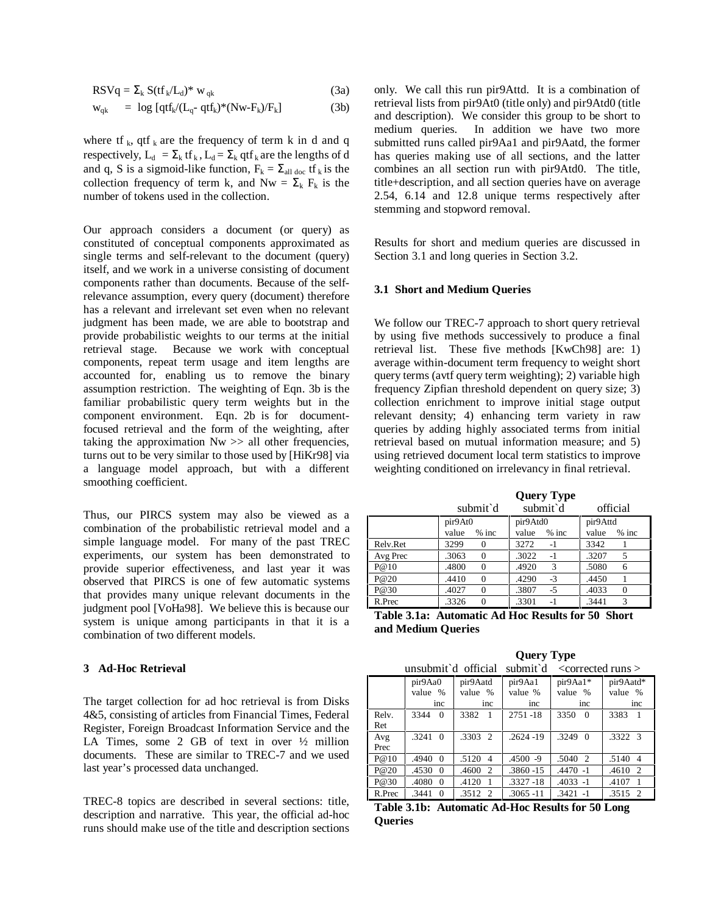$$
RSVq = \Sigma_k S(tf_k/L_d)^* w_{qk}
$$
 (3a)

$$
w_{qk} = \log [qtf_k/(L_q - qtf_k)^*(Nw - F_k)/F_k] \tag{3b}
$$

where tf  $_{k}$ , qtf  $_{k}$  are the frequency of term k in d and q respectively,  $L_d = \Sigma_k$  tf  $_k$ ,  $L_d = \Sigma_k$  qtf  $_k$  are the lengths of d and q, S is a sigmoid-like function,  $F_k = \sum_{all \text{ doc}} tf_k$  is the collection frequency of term k, and Nw =  $\Sigma_k$  F<sub>k</sub> is the number of tokens used in the collection.

Our approach considers a document (or query) as constituted of conceptual components approximated as single terms and self-relevant to the document (query) itself, and we work in a universe consisting of document components rather than documents. Because of the selfrelevance assumption, every query (document) therefore has a relevant and irrelevant set even when no relevant judgment has been made, we are able to bootstrap and provide probabilistic weights to our terms at the initial retrieval stage. Because we work with conceptual components, repeat term usage and item lengths are accounted for, enabling us to remove the binary assumption restriction. The weighting of Eqn. 3b is the familiar probabilistic query term weights but in the component environment. Eqn. 2b is for documentfocused retrieval and the form of the weighting, after taking the approximation  $Nw \gg$  all other frequencies, turns out to be very similar to those used by [HiKr98] via a language model approach, but with a different smoothing coefficient.

Thus, our PIRCS system may also be viewed as a combination of the probabilistic retrieval model and a simple language model. For many of the past TREC experiments, our system has been demonstrated to provide superior effectiveness, and last year it was observed that PIRCS is one of few automatic systems that provides many unique relevant documents in the judgment pool [VoHa98]. We believe this is because our system is unique among participants in that it is a combination of two different models.

### **3 Ad-Hoc Retrieval**

The target collection for ad hoc retrieval is from Disks 4&5, consisting of articles from Financial Times, Federal Register, Foreign Broadcast Information Service and the LA Times, some 2 GB of text in over ½ million documents. These are similar to TREC-7 and we used last year's processed data unchanged.

TREC-8 topics are described in several sections: title, description and narrative. This year, the official ad-hoc runs should make use of the title and description sections only. We call this run pir9Attd. It is a combination of retrieval lists from pir9At0 (title only) and pir9Atd0 (title and description). We consider this group to be short to medium queries. In addition we have two more submitted runs called pir9Aa1 and pir9Aatd, the former has queries making use of all sections, and the latter combines an all section run with pir9Atd0. The title, title+description, and all section queries have on average 2.54, 6.14 and 12.8 unique terms respectively after stemming and stopword removal.

Results for short and medium queries are discussed in Section 3.1 and long queries in Section 3.2.

#### **3.1 Short and Medium Queries**

We follow our TREC-7 approach to short query retrieval by using five methods successively to produce a final retrieval list. These five methods [KwCh98] are: 1) average within-document term frequency to weight short query terms (avtf query term weighting); 2) variable high frequency Zipfian threshold dependent on query size; 3) collection enrichment to improve initial stage output relevant density; 4) enhancing term variety in raw queries by adding highly associated terms from initial retrieval based on mutual information measure; and 5) using retrieved document local term statistics to improve weighting conditioned on irrelevancy in final retrieval.

**Query Type** 

| submit d           |                       | submit d                                             | official      |  |
|--------------------|-----------------------|------------------------------------------------------|---------------|--|
|                    | pir9At0               | pir9Atd0                                             | pir9Attd      |  |
|                    | $%$ inc               | value                                                | value         |  |
|                    | value                 | $%$ inc                                              | $%$ inc       |  |
| Relv.Ret           | 3299<br>$\theta$      | 3272<br>$-1$                                         | 3342          |  |
| Avg Prec           | .3063                 | .3022                                                | .3207         |  |
|                    | $\Omega$              | $-1$                                                 | 5             |  |
| P@10               | .4800                 | .4920                                                | .5080         |  |
|                    | $\Omega$              | 3                                                    | 6             |  |
| P@20               | .4410<br>$\Omega$     | .4290<br>$-3$                                        | .4450         |  |
| P@30               | .4027                 | .3807                                                | .4033         |  |
|                    | $\theta$              | $-5$                                                 | $\Omega$      |  |
| R.Prec             | .3326                 | .3301                                                | .3441         |  |
|                    | $\Omega$              | $-1$                                                 | 3             |  |
| .<br>$\sim$ $\sim$ | $\cdot$ .<br>$\cdots$ | $\bullet$<br>1. TT<br>$\blacksquare$<br>$\mathbf{L}$ | $\sim$ $\sim$ |  |

|                    | Table 3.1a: Automatic Ad Hoc Results for 50 Short |  |  |
|--------------------|---------------------------------------------------|--|--|
| and Medium Oueries |                                                   |  |  |

|        | <b>Query Type</b>   |                                      |              |                                                       |                         |
|--------|---------------------|--------------------------------------|--------------|-------------------------------------------------------|-------------------------|
|        | unsubmit d official |                                      | submit d     | $\alpha$ <corrected <math="" runs="">&gt;</corrected> |                         |
|        | pir9Aa0             | pir9Aatd                             | pir9Aa1      | pir9Aa1*                                              | pir9Aatd*               |
|        | value %             | value %                              | value %      | value %                                               | value %                 |
|        | inc                 | inc                                  | inc          | inc                                                   | inc                     |
| Rely.  | 3344<br>$\Omega$    | 3382<br>$\overline{1}$               | 2751-18      | 3350<br>$\Omega$                                      | 3383<br>$\overline{1}$  |
| Ret    |                     |                                      |              |                                                       |                         |
| Avg    | .3241<br>$\theta$   | $.3303 \quad 2$                      | $.2624 - 19$ | .3249<br>$\Omega$                                     | .3322 3                 |
| Prec   |                     |                                      |              |                                                       |                         |
| P@10   | .4940<br>$\Omega$   | .5120<br>$\overline{\mathcal{A}}$    | $.4500 -9$   | .5040<br>-2                                           | .5140<br>$\overline{4}$ |
| P@20   | .4530<br>$\Omega$   | .4600<br>2                           | .3860 -15    | $.4470 - 1$                                           | .4610<br>2              |
| P@30   | .4080<br>$\Omega$   | .4120<br>$\overline{1}$              | $.3327 - 18$ | $.4033 - 1$                                           | .4107<br>$\overline{1}$ |
| R.Prec | .3441<br>0          | .3512<br>$\mathcal{D}_{\mathcal{L}}$ | $.3065 - 11$ | $.3421 - 1$                                           | .3515 2                 |

**Table 3.1b: Automatic Ad-Hoc Results for 50 Long Queries**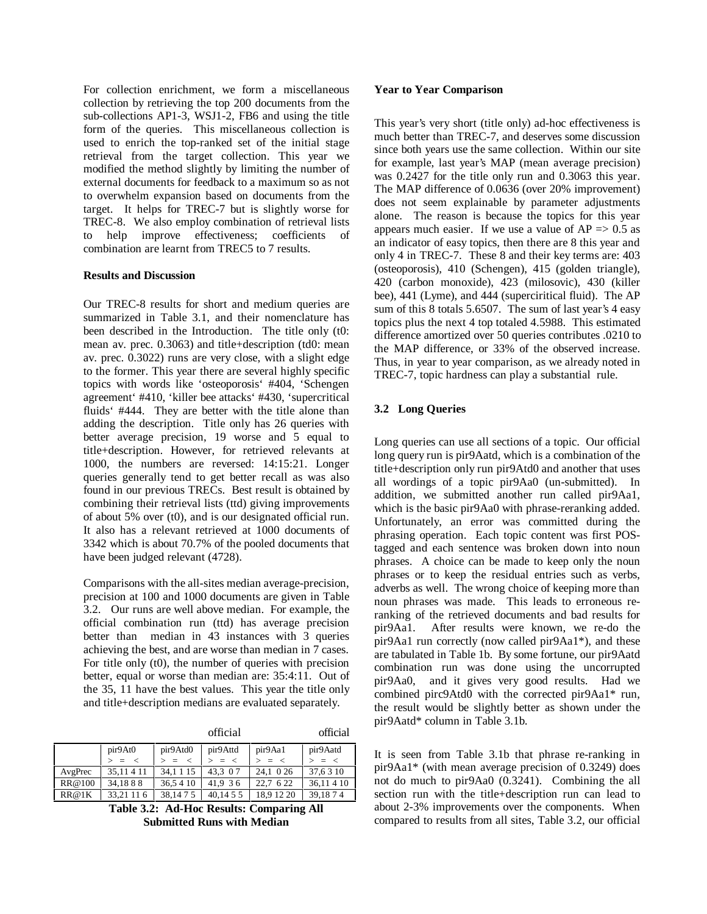For collection enrichment, we form a miscellaneous collection by retrieving the top 200 documents from the sub-collections AP1-3, WSJ1-2, FB6 and using the title form of the queries. This miscellaneous collection is used to enrich the top-ranked set of the initial stage retrieval from the target collection. This year we modified the method slightly by limiting the number of external documents for feedback to a maximum so as not to overwhelm expansion based on documents from the target. It helps for TREC-7 but is slightly worse for TREC-8. We also employ combination of retrieval lists to help improve effectiveness; coefficients of combination are learnt from TREC5 to 7 results.

### **Results and Discussion**

Our TREC-8 results for short and medium queries are summarized in Table 3.1, and their nomenclature has been described in the Introduction. The title only (t0: mean av. prec. 0.3063) and title+description (td0: mean av. prec. 0.3022) runs are very close, with a slight edge to the former. This year there are several highly specific topics with words like 'osteoporosis' #404, 'Schengen agreement' #410, 'killer bee attacks' #430, 'supercritical fluids' #444. They are better with the title alone than adding the description. Title only has 26 queries with better average precision, 19 worse and 5 equal to title+description. However, for retrieved relevants at 1000, the numbers are reversed: 14:15:21. Longer queries generally tend to get better recall as was also found in our previous TRECs. Best result is obtained by combining their retrieval lists (ttd) giving improvements of about 5% over (t0), and is our designated official run. It also has a relevant retrieved at 1000 documents of 3342 which is about 70.7% of the pooled documents that have been judged relevant (4728).

Comparisons with the all-sites median average-precision, precision at 100 and 1000 documents are given in Table 3.2. Our runs are well above median. For example, the official combination run (ttd) has average precision better than median in 43 instances with 3 queries achieving the best, and are worse than median in 7 cases. For title only (t0), the number of queries with precision better, equal or worse than median are: 35:4:11. Out of the 35, 11 have the best values. This year the title only and title+description medians are evaluated separately.

|         |            |           | official  |            | official  |
|---------|------------|-----------|-----------|------------|-----------|
|         | pir9At0    | pir9Atd0  | pir9Attd  | pir9Aa1    | pir9Aatd  |
|         | $=$ $\lt$  | $> = <$   | $> = <$   | $=$ $\lt$  | $=$ $\lt$ |
| AvgPrec | 35.11 4 11 | 34.1 1 15 | 43.3 0 7  | 24.1 0 26  | 37.6 3 10 |
| RR@100  | 34,1888    | 36,5410   | 41.9 36   | 22.7 6 22  | 36,114 10 |
| RR@1K   | 33.21 11 6 | 38,1475   | 40.14 5 5 | 18.9 12 20 | 39,1874   |

**Table 3.2: Ad-Hoc Results: Comparing All Submitted Runs with Median**

### **Year to Year Comparison**

This year's very short (title only) ad-hoc effectiveness is much better than TREC-7, and deserves some discussion since both years use the same collection. Within our site for example, last year's MAP (mean average precision) was 0.2427 for the title only run and 0.3063 this year. The MAP difference of 0.0636 (over 20% improvement) does not seem explainable by parameter adjustments alone. The reason is because the topics for this year appears much easier. If we use a value of  $AP \Rightarrow 0.5$  as an indicator of easy topics, then there are 8 this year and only 4 in TREC-7. These 8 and their key terms are: 403 (osteoporosis), 410 (Schengen), 415 (golden triangle), 420 (carbon monoxide), 423 (milosovic), 430 (killer bee), 441 (Lyme), and 444 (superciritical fluid). The AP sum of this 8 totals 5.6507. The sum of last year's 4 easy topics plus the next 4 top totaled 4.5988. This estimated difference amortized over 50 queries contributes .0210 to the MAP difference, or 33% of the observed increase. Thus, in year to year comparison, as we already noted in TREC-7, topic hardness can play a substantial rule.

# **3.2 Long Queries**

Long queries can use all sections of a topic. Our official long query run is pir9Aatd, which is a combination of the title+description only run pir9Atd0 and another that uses all wordings of a topic pir9Aa0 (un-submitted). In addition, we submitted another run called pir9Aa1, which is the basic pir9Aa0 with phrase-reranking added. Unfortunately, an error was committed during the phrasing operation. Each topic content was first POStagged and each sentence was broken down into noun phrases. A choice can be made to keep only the noun phrases or to keep the residual entries such as verbs, adverbs as well. The wrong choice of keeping more than noun phrases was made. This leads to erroneous reranking of the retrieved documents and bad results for pir9Aa1. After results were known, we re-do the pir9Aa1 run correctly (now called pir9Aa1\*), and these are tabulated in Table 1b. By some fortune, our pir9Aatd combination run was done using the uncorrupted pir9Aa0, and it gives very good results. Had we combined pirc9Atd0 with the corrected pir9Aa1\* run, the result would be slightly better as shown under the pir9Aatd\* column in Table 3.1b.

It is seen from Table 3.1b that phrase re-ranking in pir9Aa1\* (with mean average precision of 0.3249) does not do much to pir9Aa0 (0.3241). Combining the all section run with the title+description run can lead to about 2-3% improvements over the components. When compared to results from all sites, Table 3.2, our official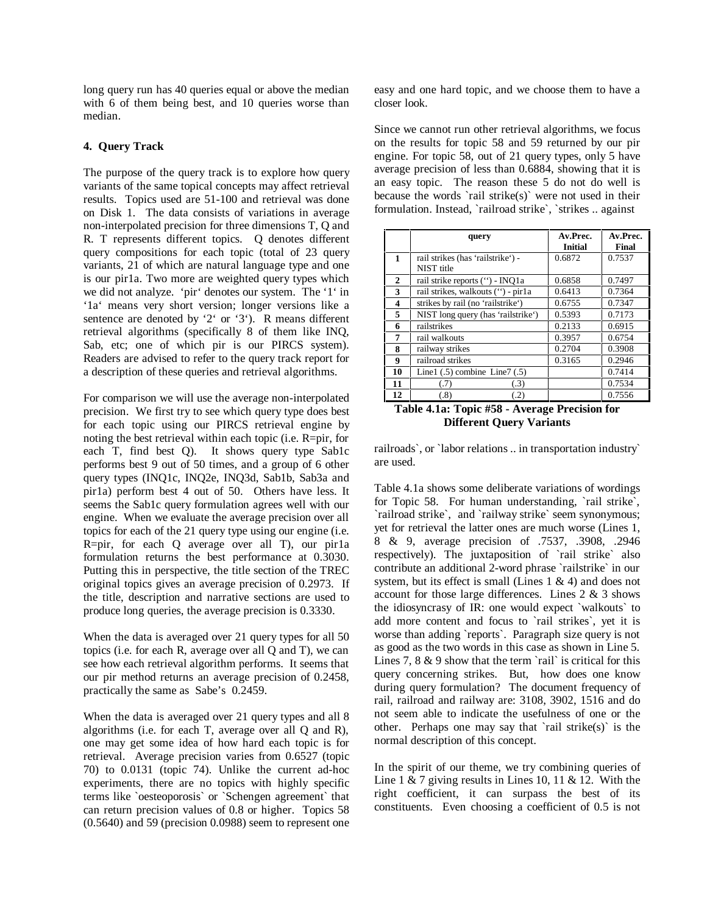long query run has 40 queries equal or above the median with 6 of them being best, and 10 queries worse than median.

# **4. Query Track**

The purpose of the query track is to explore how query variants of the same topical concepts may affect retrieval results. Topics used are 51-100 and retrieval was done on Disk 1. The data consists of variations in average non-interpolated precision for three dimensions T, Q and R. T represents different topics. Q denotes different query compositions for each topic (total of 23 query variants, 21 of which are natural language type and one is our pir1a. Two more are weighted query types which we did not analyze. 'pir' denotes our system. The '1' in '1a' means very short version; longer versions like a sentence are denoted by '2' or '3'). R means different retrieval algorithms (specifically 8 of them like INQ, Sab, etc; one of which pir is our PIRCS system). Readers are advised to refer to the query track report for a description of these queries and retrieval algorithms.

For comparison we will use the average non-interpolated precision. We first try to see which query type does best for each topic using our PIRCS retrieval engine by noting the best retrieval within each topic (i.e. R=pir, for each T, find best Q). It shows query type Sab1c performs best 9 out of 50 times, and a group of 6 other query types (INQ1c, INQ2e, INQ3d, Sab1b, Sab3a and pir1a) perform best 4 out of 50. Others have less. It seems the Sab1c query formulation agrees well with our engine. When we evaluate the average precision over all topics for each of the 21 query type using our engine (i.e. R=pir, for each Q average over all T), our pir1a formulation returns the best performance at 0.3030. Putting this in perspective, the title section of the TREC original topics gives an average precision of 0.2973. If the title, description and narrative sections are used to produce long queries, the average precision is 0.3330.

When the data is averaged over 21 query types for all 50 topics (i.e. for each R, average over all Q and T), we can see how each retrieval algorithm performs. It seems that our pir method returns an average precision of 0.2458, practically the same as Sabe's 0.2459.

When the data is averaged over 21 query types and all 8 algorithms (i.e. for each T, average over all Q and R), one may get some idea of how hard each topic is for retrieval. Average precision varies from 0.6527 (topic 70) to 0.0131 (topic 74). Unlike the current ad-hoc experiments, there are no topics with highly specific terms like `oesteoporosis` or `Schengen agreement` that can return precision values of 0.8 or higher. Topics 58 (0.5640) and 59 (precision 0.0988) seem to represent one

easy and one hard topic, and we choose them to have a closer look.

Since we cannot run other retrieval algorithms, we focus on the results for topic 58 and 59 returned by our pir engine. For topic 58, out of 21 query types, only 5 have average precision of less than 0.6884, showing that it is an easy topic. The reason these 5 do not do well is because the words `rail strike(s)` were not used in their formulation. Instead, `railroad strike`, `strikes .. against

|    | query                                           | Av.Prec.<br><b>Initial</b> | Av.Prec.<br><b>Final</b> |
|----|-------------------------------------------------|----------------------------|--------------------------|
| 1  | rail strikes (has 'railstrike') -<br>NIST title | 0.6872                     | 0.7537                   |
| 2  | rail strike reports (") - INQ1a                 | 0.6858                     | 0.7497                   |
| 3  | rail strikes, walkouts (") - pir1a              | 0.6413                     | 0.7364                   |
| 4  | strikes by rail (no 'railstrike')               | 0.6755                     | 0.7347                   |
| 5  | NIST long query (has 'railstrike')              | 0.5393                     | 0.7173                   |
| 6  | railstrikes                                     | 0.2133                     | 0.6915                   |
| 7  | rail walkouts                                   | 0.3957                     | 0.6754                   |
| 8  | railway strikes                                 | 0.2704                     | 0.3908                   |
| 9  | railroad strikes                                | 0.3165                     | 0.2946                   |
| 10 | Line1 $(.5)$ combine Line7 $(.5)$               |                            | 0.7414                   |
| 11 | (.3)<br>(.7)                                    |                            | 0.7534                   |
| 12 | (.8)<br>(.2)                                    |                            | 0.7556                   |



railroads`, or `labor relations .. in transportation industry` are used.

Table 4.1a shows some deliberate variations of wordings for Topic 58. For human understanding, `rail strike`, `railroad strike`, and `railway strike` seem synonymous; yet for retrieval the latter ones are much worse (Lines 1, 8 & 9, average precision of .7537, .3908, .2946 respectively). The juxtaposition of `rail strike` also contribute an additional 2-word phrase `railstrike` in our system, but its effect is small (Lines  $1 \& 4$ ) and does not account for those large differences. Lines 2 & 3 shows the idiosyncrasy of IR: one would expect `walkouts` to add more content and focus to `rail strikes`, yet it is worse than adding `reports`. Paragraph size query is not as good as the two words in this case as shown in Line 5. Lines 7,  $8 \& 9$  show that the term `rail` is critical for this query concerning strikes. But, how does one know during query formulation? The document frequency of rail, railroad and railway are: 3108, 3902, 1516 and do not seem able to indicate the usefulness of one or the other. Perhaps one may say that 'rail strike(s)' is the normal description of this concept.

In the spirit of our theme, we try combining queries of Line  $1 \& 7$  giving results in Lines 10, 11  $\&$  12. With the right coefficient, it can surpass the best of its constituents. Even choosing a coefficient of 0.5 is not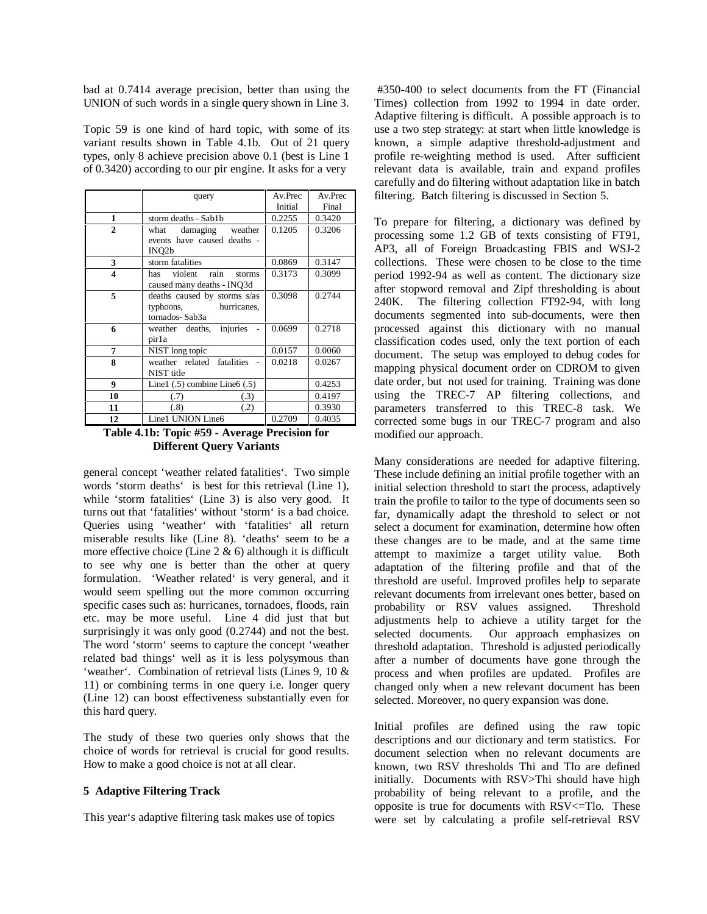bad at 0.7414 average precision, better than using the UNION of such words in a single query shown in Line 3.

Topic 59 is one kind of hard topic, with some of its variant results shown in Table 4.1b. Out of 21 query types, only 8 achieve precision above 0.1 (best is Line 1 of 0.3420) according to our pir engine. It asks for a very

|              | query                             | Av.Prec | Av.Prec |
|--------------|-----------------------------------|---------|---------|
|              |                                   | Initial | Final   |
| 1            | storm deaths - Sab1b              | 0.2255  | 0.3420  |
| $\mathbf{2}$ | damaging weather<br>what          | 0.1205  | 0.3206  |
|              | events have caused deaths -       |         |         |
|              | INO <sub>2</sub> b                |         |         |
| 3            | storm fatalities                  | 0.0869  | 0.3147  |
| 4            | rain<br>violent<br>has<br>storms  | 0.3173  | 0.3099  |
|              | caused many deaths - INQ3d        |         |         |
| 5            | deaths caused by storms s/as      | 0.3098  | 0.2744  |
|              | typhoons, hurricanes,             |         |         |
|              | tornados-Sab3a                    |         |         |
| 6            | weather deaths, injuries          | 0.0699  | 0.2718  |
|              | pir1a                             |         |         |
| 7            | NIST long topic                   | 0.0157  | 0.0060  |
| 8            | weather related fatalities        | 0.0218  | 0.0267  |
|              | NIST title                        |         |         |
| 9            | Line1 $(.5)$ combine Line6 $(.5)$ |         | 0.4253  |
| 10           | (.7)<br>(.3)                      |         | 0.4197  |
| 11           | (.8)<br>(.2)                      |         | 0.3930  |
| 12           | Line1 UNION Line6                 | 0.2709  | 0.4035  |

**Table 4.1b: Topic #59 - Average Precision for Different Query Variants** 

general concept 'weather related fatalities'. Two simple words 'storm deaths' is best for this retrieval (Line 1), while 'storm fatalities' (Line 3) is also very good. It turns out that 'fatalities' without 'storm' is a bad choice. Queries using 'weather' with 'fatalities' all return miserable results like (Line 8). 'deaths' seem to be a more effective choice (Line  $2 \& 6$ ) although it is difficult to see why one is better than the other at query formulation. 'Weather related' is very general, and it would seem spelling out the more common occurring specific cases such as: hurricanes, tornadoes, floods, rain etc. may be more useful. Line 4 did just that but surprisingly it was only good (0.2744) and not the best. The word 'storm' seems to capture the concept 'weather related bad things' well as it is less polysymous than 'weather'. Combination of retrieval lists (Lines 9, 10 & 11) or combining terms in one query i.e. longer query (Line 12) can boost effectiveness substantially even for this hard query.

The study of these two queries only shows that the choice of words for retrieval is crucial for good results. How to make a good choice is not at all clear.

### **5 Adaptive Filtering Track**

This year's adaptive filtering task makes use of topics

 #350-400 to select documents from the FT (Financial Times) collection from 1992 to 1994 in date order. Adaptive filtering is difficult. A possible approach is to use a two step strategy: at start when little knowledge is known, a simple adaptive threshold-adjustment and profile re-weighting method is used. After sufficient relevant data is available, train and expand profiles carefully and do filtering without adaptation like in batch filtering. Batch filtering is discussed in Section 5.

To prepare for filtering, a dictionary was defined by processing some 1.2 GB of texts consisting of FT91, AP3, all of Foreign Broadcasting FBIS and WSJ-2 collections. These were chosen to be close to the time period 1992-94 as well as content. The dictionary size after stopword removal and Zipf thresholding is about 240K. The filtering collection FT92-94, with long documents segmented into sub-documents, were then processed against this dictionary with no manual classification codes used, only the text portion of each document. The setup was employed to debug codes for mapping physical document order on CDROM to given date order, but not used for training. Training was done using the TREC-7 AP filtering collections, and parameters transferred to this TREC-8 task. We corrected some bugs in our TREC-7 program and also modified our approach.

Many considerations are needed for adaptive filtering. These include defining an initial profile together with an initial selection threshold to start the process, adaptively train the profile to tailor to the type of documents seen so far, dynamically adapt the threshold to select or not select a document for examination, determine how often these changes are to be made, and at the same time attempt to maximize a target utility value. Both adaptation of the filtering profile and that of the threshold are useful. Improved profiles help to separate relevant documents from irrelevant ones better, based on probability or RSV values assigned. Threshold adjustments help to achieve a utility target for the selected documents. Our approach emphasizes on threshold adaptation. Threshold is adjusted periodically after a number of documents have gone through the process and when profiles are updated. Profiles are changed only when a new relevant document has been selected. Moreover, no query expansion was done.

Initial profiles are defined using the raw topic descriptions and our dictionary and term statistics. For document selection when no relevant documents are known, two RSV thresholds Thi and Tlo are defined initially. Documents with RSV>Thi should have high probability of being relevant to a profile, and the opposite is true for documents with RSV<=Tlo. These were set by calculating a profile self-retrieval RSV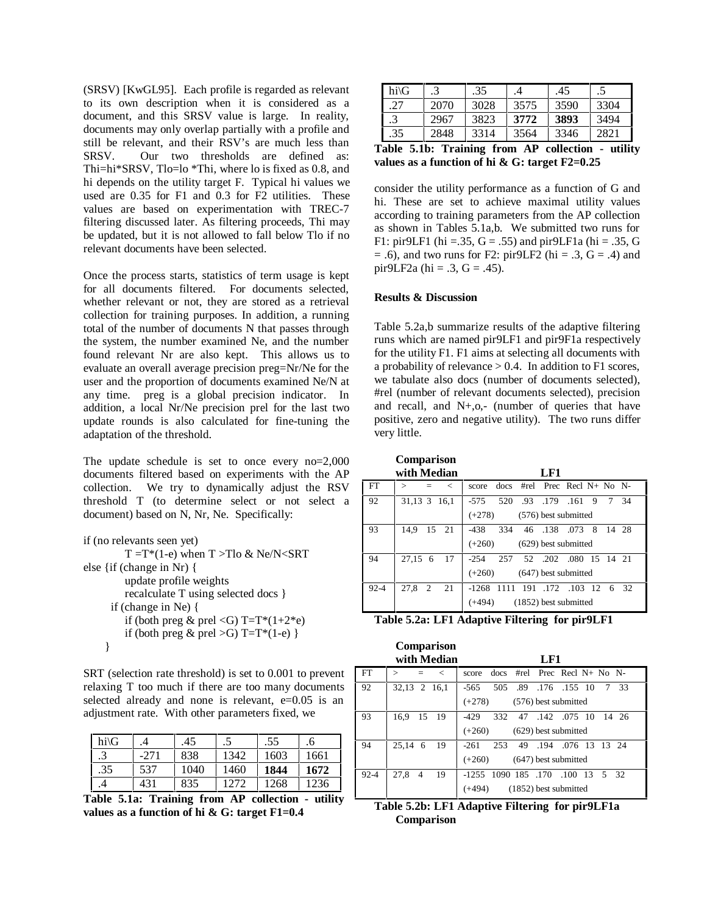(SRSV) [KwGL95]. Each profile is regarded as relevant to its own description when it is considered as a document, and this SRSV value is large. In reality, documents may only overlap partially with a profile and still be relevant, and their RSV's are much less than SRSV. Our two thresholds are defined as: Thi=hi\*SRSV, Tlo=lo \*Thi, where lo is fixed as 0.8, and hi depends on the utility target F. Typical hi values we used are 0.35 for F1 and 0.3 for F2 utilities. These values are based on experimentation with TREC-7 filtering discussed later. As filtering proceeds, Thi may be updated, but it is not allowed to fall below Tlo if no relevant documents have been selected.

Once the process starts, statistics of term usage is kept for all documents filtered. For documents selected, whether relevant or not, they are stored as a retrieval collection for training purposes. In addition, a running total of the number of documents N that passes through the system, the number examined Ne, and the number found relevant Nr are also kept. This allows us to evaluate an overall average precision preg=Nr/Ne for the user and the proportion of documents examined Ne/N at any time. preg is a global precision indicator. In addition, a local Nr/Ne precision prel for the last two update rounds is also calculated for fine-tuning the adaptation of the threshold.

The update schedule is set to once every no=2,000 documents filtered based on experiments with the AP collection. We try to dynamically adjust the RSV threshold T (to determine select or not select a document) based on N, Nr, Ne. Specifically:

| if (no relevants seen yet)                 |
|--------------------------------------------|
| $T = T*(1-e)$ when $T > Tlo \& Ne/N < SRT$ |
| else {if (change in Nr) {                  |
| update profile weights                     |
| recalculate T using selected docs }        |
| if (change in Ne) {                        |
| if (both preg & prel < G) T=T*(1+2*e)      |
| if (both preg & prel >G) T=T*(1-e) }       |
|                                            |

SRT (selection rate threshold) is set to 0.001 to prevent relaxing T too much if there are too many documents selected already and none is relevant, e=0.05 is an adjustment rate. With other parameters fixed, we

| $hi\ G$ | 4      | .45  | د.    | .55  | .6   |
|---------|--------|------|-------|------|------|
|         | $-271$ | 838  | 1342  | 1603 | 1661 |
| .35     | 537    | 1040 | 1460  | 1844 | 1672 |
|         | 431    | 835  | 12.72 | 1268 | 1236 |

**Table 5.1a: Training from AP collection - utility values as a function of hi & G: target F1=0.4** 

| hi\G |           | .35                     |                          | .45                            | د.   |
|------|-----------|-------------------------|--------------------------|--------------------------------|------|
| 27   | 2070      | 3028                    | 3575                     | 3590                           | 3304 |
|      | 2967      | 3823                    | 3772                     | 3893                           | 3494 |
| .35  | 2848      | 3314                    | 3564                     | 3346                           | 2821 |
|      | - -<br>__ | $\sim$<br>$\sim$ $\sim$ | $\overline{\phantom{a}}$ | --<br>$\overline{\phantom{a}}$ |      |

**Table 5.1b: Training from AP collection - utility values as a function of hi & G: target F2=0.25** 

consider the utility performance as a function of G and hi. These are set to achieve maximal utility values according to training parameters from the AP collection as shown in Tables 5.1a,b. We submitted two runs for F1: pir9LF1 (hi = .35, G = .55) and pir9LF1a (hi = .35, G  $=$  .6), and two runs for F2: pir9LF2 (hi  $=$  .3, G  $=$  .4) and pir9LF2a (hi = .3,  $G = .45$ ).

# **Results & Discussion**

Table 5.2a,b summarize results of the adaptive filtering runs which are named pir9LF1 and pir9F1a respectively for the utility F1. F1 aims at selecting all documents with a probability of relevance  $> 0.4$ . In addition to F1 scores, we tabulate also docs (number of documents selected), #rel (number of relevant documents selected), precision and recall, and  $N<sub>+</sub>, o,$ - (number of queries that have positive, zero and negative utility). The two runs differ very little.

 **Comparison** 

|          | with Median                        | LF1                                           |
|----------|------------------------------------|-----------------------------------------------|
| FT       | $\,<\,$<br>$\mathbf{I}$<br>$=$ $-$ | #rel Prec Recl $N+$ No $N-$<br>docs<br>score  |
| 92       | 31,13 3 16,1                       | $-575$<br>520<br>.93 .179 .161<br>- 9<br>7 34 |
|          |                                    | (576) best submitted<br>$(+278)$              |
| 93       | 14.9<br>15 21                      | $-438$<br>334 46 .138 .073<br>8 14 28         |
|          |                                    | $(+260)$<br>$(629)$ best submitted            |
| 94       | 27,15 6<br>- 17                    | -254 257 52 .202 .080 15 14 21                |
|          |                                    | $(+260)$<br>$(647)$ best submitted            |
| $92 - 4$ | 27.8<br>2<br>- 21                  | $-1268$<br>1111 191 .172 .103 12 6 32         |
|          |                                    | (1852) best submitted<br>$(+494)$             |

**Table 5.2a: LF1 Adaptive Filtering for pir9LF1** 

|          | <b>Comparison</b><br>with Median | $L_{\rm F1}$                              |
|----------|----------------------------------|-------------------------------------------|
| FT       | $\,<\,$<br>$\rm{~}$<br>$=$       | docs #rel Prec Recl N+ No N-<br>score     |
| 92       | 32,13 2 16,1                     | 505 .89 .176 .155 10<br>$-565$<br>7 33    |
|          |                                  | $(+278)$<br>(576) best submitted          |
| 93       | 16.9<br>15 19                    | 332 47 .142 .075 10<br>-429<br>-14 26     |
|          |                                  | $(+260)$<br>$(629)$ best submitted        |
| 94       | 25,14<br>19<br>6                 | 253<br>49 .194<br>.076 13 13 24<br>$-261$ |
|          |                                  | $(+260)$<br>$(647)$ best submitted        |
| $92 - 4$ | 27.8<br>19<br>4                  | -1255 1090 185 .170<br>.100<br>13 5 32    |
|          |                                  | (1852) best submitted<br>$(+494)$         |

**Table 5.2b: LF1 Adaptive Filtering for pir9LF1a Comparison**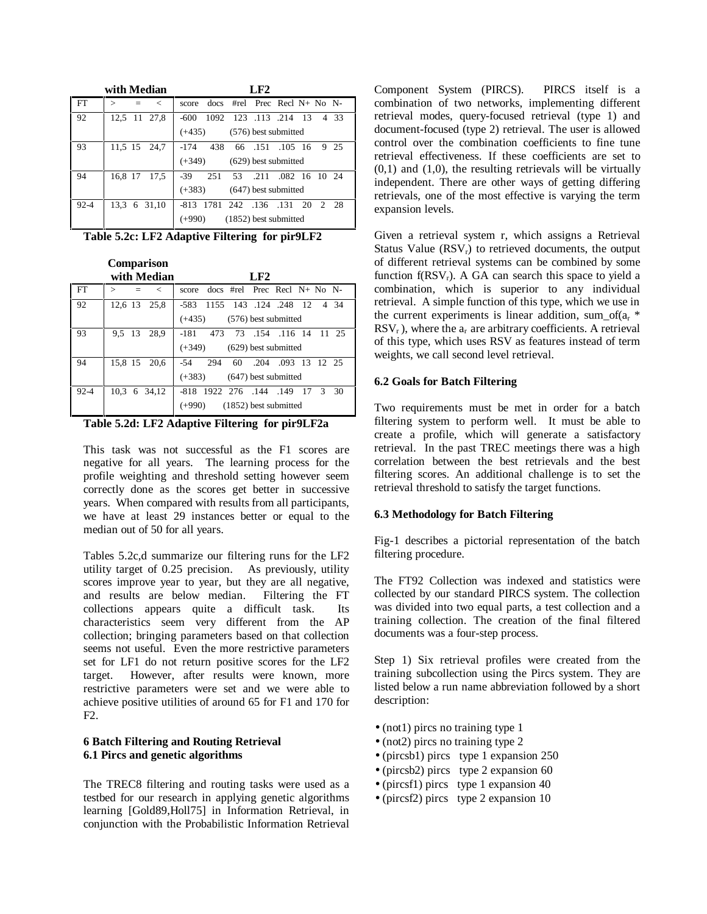|      | with Median             | $L_{\rm F2}$                                  |
|------|-------------------------|-----------------------------------------------|
| FT   | $\mathbf{I}$<br>$\,<\,$ | $10 \cos$ #rel Prec Recl N+ No N-<br>score    |
| 92   | 12,5 11 27,8            | 1092 123 113 214 13<br>4 33<br>$-600$         |
|      |                         | $(+435)$<br>(576) best submitted              |
| 93   | 11,5 15 24,7            | $-174$<br>438<br>66 .151 .105 16<br>- 25<br>9 |
|      |                         | $(+349)$<br>$(629)$ best submitted            |
| 94   | 16,8 17<br>17,5         | $-39$<br>251<br>53 .211 .082 16 10 24         |
|      |                         | $(+383)$<br>$(647)$ best submitted            |
| 92-4 | 13.3 6 31,10            | -813 1781 242 .136 .131 20<br>2 28            |
|      |                         | $(1852)$ best submitted<br>$(+990)$           |

**Table 5.2c: LF2 Adaptive Filtering for pir9LF2** 

 **Comparison** 

|      | with Median     | LF2                                        |
|------|-----------------|--------------------------------------------|
| l FT | $\,<\,$<br>↘    | $10 \cos$ #rel Prec Recl N+ No N-<br>score |
| 92   | 12,6 13 25,8    | -583 1155 143 .124 .248 12 4 34            |
|      |                 | $(576)$ best submitted<br>$(+435)$         |
| -93  | 9.5 13<br>28.9  | 73 .154 .116 14 11 25<br>-181<br>473       |
|      |                 | $(+349)$<br>$(629)$ best submitted         |
| 94   | 15,8 15 20,6    | 294<br>.204 .093 13 12 25<br>-54<br>60     |
|      |                 | $(+383)$<br>$(647)$ best submitted         |
| 92-4 | 10.3<br>6 34.12 | -818 1922 276 .144 .149 17 3 30            |
|      |                 | (1852) best submitted<br>$(+990)$          |

**Table 5.2d: LF2 Adaptive Filtering for pir9LF2a** 

This task was not successful as the F1 scores are negative for all years. The learning process for the profile weighting and threshold setting however seem correctly done as the scores get better in successive years. When compared with results from all participants, we have at least 29 instances better or equal to the median out of 50 for all years.

Tables 5.2c,d summarize our filtering runs for the LF2 utility target of 0.25 precision. As previously, utility scores improve year to year, but they are all negative, and results are below median. Filtering the FT collections appears quite a difficult task. Its characteristics seem very different from the AP collection; bringing parameters based on that collection seems not useful. Even the more restrictive parameters set for LF1 do not return positive scores for the LF2 target. However, after results were known, more restrictive parameters were set and we were able to achieve positive utilities of around 65 for F1 and 170 for F2.

# **6 Batch Filtering and Routing Retrieval 6.1 Pircs and genetic algorithms**

The TREC8 filtering and routing tasks were used as a testbed for our research in applying genetic algorithms learning [Gold89,Holl75] in Information Retrieval, in conjunction with the Probabilistic Information Retrieval

Component System (PIRCS). PIRCS itself is a combination of two networks, implementing different retrieval modes, query-focused retrieval (type 1) and document-focused (type 2) retrieval. The user is allowed control over the combination coefficients to fine tune retrieval effectiveness. If these coefficients are set to  $(0,1)$  and  $(1,0)$ , the resulting retrievals will be virtually independent. There are other ways of getting differing retrievals, one of the most effective is varying the term expansion levels.

Given a retrieval system r, which assigns a Retrieval Status Value  $(RSV_r)$  to retrieved documents, the output of different retrieval systems can be combined by some function  $f(RSV_r)$ . A GA can search this space to yield a combination, which is superior to any individual retrieval. A simple function of this type, which we use in the current experiments is linear addition, sum\_of( $a_r$  \*  $RSV<sub>r</sub>$ ), where the  $a<sub>r</sub>$  are arbitrary coefficients. A retrieval of this type, which uses RSV as features instead of term weights, we call second level retrieval.

# **6.2 Goals for Batch Filtering**

Two requirements must be met in order for a batch filtering system to perform well. It must be able to create a profile, which will generate a satisfactory retrieval. In the past TREC meetings there was a high correlation between the best retrievals and the best filtering scores. An additional challenge is to set the retrieval threshold to satisfy the target functions.

# **6.3 Methodology for Batch Filtering**

Fig-1 describes a pictorial representation of the batch filtering procedure.

The FT92 Collection was indexed and statistics were collected by our standard PIRCS system. The collection was divided into two equal parts, a test collection and a training collection. The creation of the final filtered documents was a four-step process.

Step 1) Six retrieval profiles were created from the training subcollection using the Pircs system. They are listed below a run name abbreviation followed by a short description:

- (not1) pircs no training type 1
- (not2) pircs no training type 2
- (pircsb1) pircs type 1 expansion 250
- (pircsb2) pircs type 2 expansion 60
- (pircsf1) pircs type 1 expansion 40
- (pircsf2) pircs type 2 expansion 10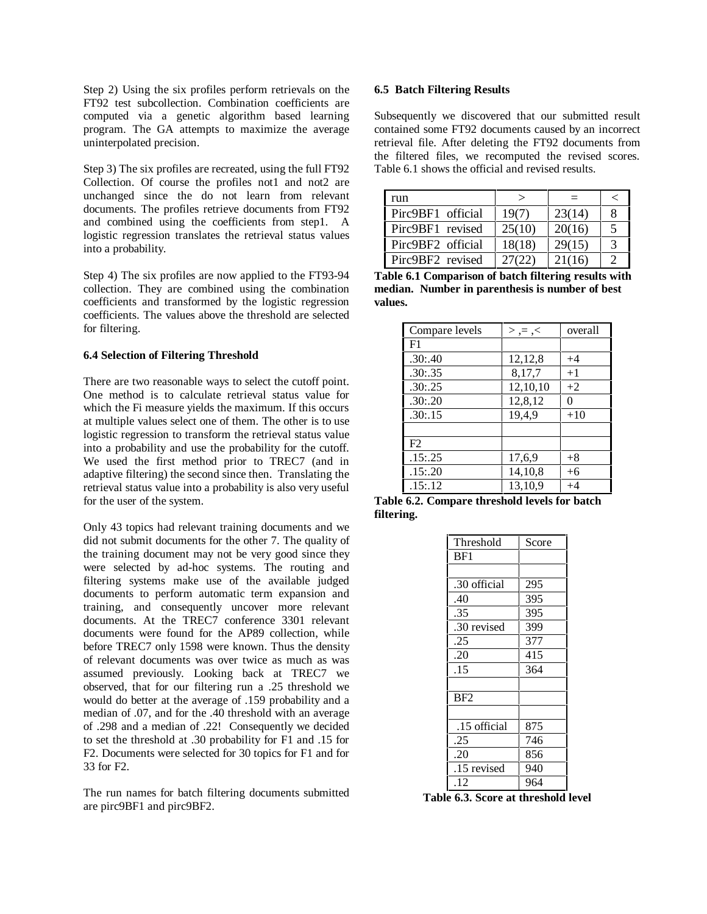Step 2) Using the six profiles perform retrievals on the FT92 test subcollection. Combination coefficients are computed via a genetic algorithm based learning program. The GA attempts to maximize the average uninterpolated precision.

Step 3) The six profiles are recreated, using the full FT92 Collection. Of course the profiles not1 and not2 are unchanged since the do not learn from relevant documents. The profiles retrieve documents from FT92 and combined using the coefficients from step1. A logistic regression translates the retrieval status values into a probability.

Step 4) The six profiles are now applied to the FT93-94 collection. They are combined using the combination coefficients and transformed by the logistic regression coefficients. The values above the threshold are selected for filtering.

#### **6.4 Selection of Filtering Threshold**

There are two reasonable ways to select the cutoff point. One method is to calculate retrieval status value for which the Fi measure yields the maximum. If this occurs at multiple values select one of them. The other is to use logistic regression to transform the retrieval status value into a probability and use the probability for the cutoff. We used the first method prior to TREC7 (and in adaptive filtering) the second since then. Translating the retrieval status value into a probability is also very useful for the user of the system.

Only 43 topics had relevant training documents and we did not submit documents for the other 7. The quality of the training document may not be very good since they were selected by ad-hoc systems. The routing and filtering systems make use of the available judged documents to perform automatic term expansion and training, and consequently uncover more relevant documents. At the TREC7 conference 3301 relevant documents were found for the AP89 collection, while before TREC7 only 1598 were known. Thus the density of relevant documents was over twice as much as was assumed previously. Looking back at TREC7 we observed, that for our filtering run a .25 threshold we would do better at the average of .159 probability and a median of .07, and for the .40 threshold with an average of .298 and a median of .22! Consequently we decided to set the threshold at .30 probability for F1 and .15 for F2. Documents were selected for 30 topics for F1 and for 33 for F2.

The run names for batch filtering documents submitted are pirc9BF1 and pirc9BF2.

#### **6.5 Batch Filtering Results**

Subsequently we discovered that our submitted result contained some FT92 documents caused by an incorrect retrieval file. After deleting the FT92 documents from the filtered files, we recomputed the revised scores. Table 6.1 shows the official and revised results.

| run               | ↘      |        |   |
|-------------------|--------|--------|---|
| Pirc9BF1 official | 19(7)  | 23(14) | 8 |
| Pirc9BF1 revised  | 25(10) | 20(16) | 5 |
| Pirc9BF2 official | 18(18) | 29(15) | 3 |
| Pirc9BF2 revised  | 27(22) | 21(16) | ာ |

**Table 6.1 Comparison of batch filtering results with median. Number in parenthesis is number of best values.** 

| Compare levels | $>$ , = , < | overall |
|----------------|-------------|---------|
| F1             |             |         |
| .30:40         | 12,12,8     | $+4$    |
| .30:35         | 8,17,7      | $+1$    |
| .30: .25       | 12,10,10    | $+2$    |
| .30:20         | 12,8,12     | 0       |
| .30:15         | 19,4,9      | $+10$   |
|                |             |         |
| F2             |             |         |
| .15: .25       | 17,6,9      | $+8$    |
| .15:20         | 14,10,8     | $+6$    |
| .15:12         | 13.10.9     | $+4$    |

**Table 6.2. Compare threshold levels for batch filtering.** 

| Threshold    | Score |
|--------------|-------|
| BF1          |       |
|              |       |
| .30 official | 295   |
| .40          | 395   |
| .35          | 395   |
| .30 revised  | 399   |
| .25          | 377   |
| .20          | 415   |
| .15          | 364   |
|              |       |
| BF2          |       |
|              |       |
| .15 official | 875   |
| .25          | 746   |
| .20          | 856   |
| .15 revised  | 940   |
| .12          | 964   |

**Table 6.3. Score at threshold level**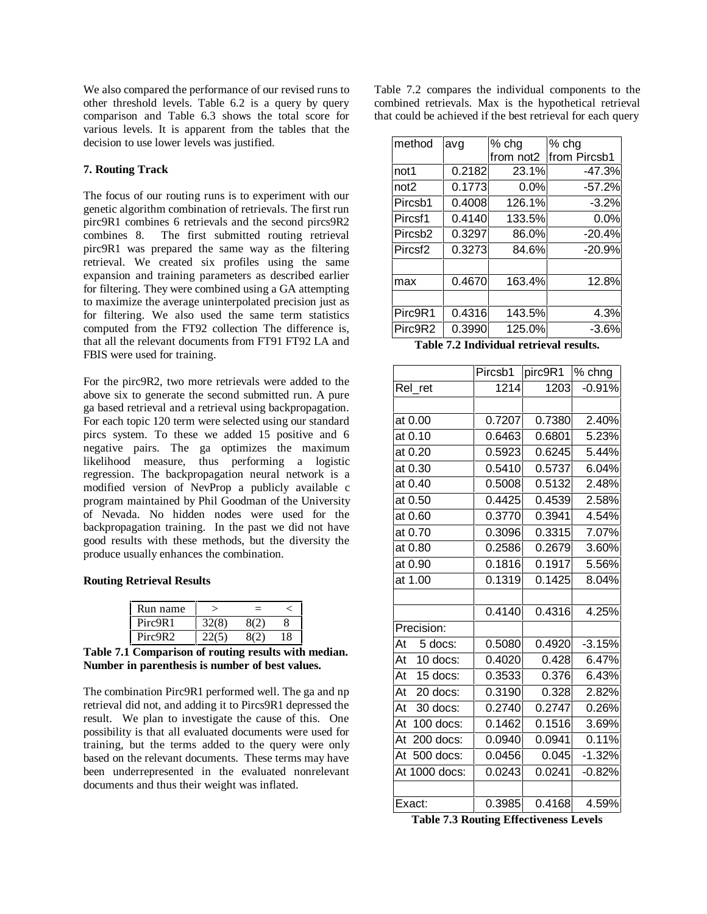We also compared the performance of our revised runs to other threshold levels. Table 6.2 is a query by query comparison and Table 6.3 shows the total score for various levels. It is apparent from the tables that the decision to use lower levels was justified.

# **7. Routing Track**

The focus of our routing runs is to experiment with our genetic algorithm combination of retrievals. The first run pirc9R1 combines 6 retrievals and the second pircs9R2 combines 8. The first submitted routing retrieval pirc9R1 was prepared the same way as the filtering retrieval. We created six profiles using the same expansion and training parameters as described earlier for filtering. They were combined using a GA attempting to maximize the average uninterpolated precision just as for filtering. We also used the same term statistics computed from the FT92 collection The difference is, that all the relevant documents from FT91 FT92 LA and FBIS were used for training.

For the pirc9R2, two more retrievals were added to the above six to generate the second submitted run. A pure ga based retrieval and a retrieval using backpropagation. For each topic 120 term were selected using our standard pircs system. To these we added 15 positive and 6 negative pairs. The ga optimizes the maximum likelihood measure, thus performing a logistic regression. The backpropagation neural network is a modified version of NevProp a publicly available c program maintained by Phil Goodman of the University of Nevada. No hidden nodes were used for the backpropagation training. In the past we did not have good results with these methods, but the diversity the produce usually enhances the combination.

### **Routing Retrieval Results**

| Run name |  |  |
|----------|--|--|
| Pirc9R1  |  |  |
| Pirc9R2  |  |  |

**Table 7.1 Comparison of routing results with median. Number in parenthesis is number of best values.** 

The combination Pirc9R1 performed well. The ga and np retrieval did not, and adding it to Pircs9R1 depressed the result. We plan to investigate the cause of this. One possibility is that all evaluated documents were used for training, but the terms added to the query were only based on the relevant documents. These terms may have been underrepresented in the evaluated nonrelevant documents and thus their weight was inflated.

Table 7.2 compares the individual components to the combined retrievals. Max is the hypothetical retrieval that could be achieved if the best retrieval for each query

| method              | avg    | % chg     | % chg        |  |
|---------------------|--------|-----------|--------------|--|
|                     |        | from not2 | from Pircsb1 |  |
| not1                | 0.2182 | 23.1%     | -47.3%       |  |
| not <sub>2</sub>    | 0.1773 | 0.0%      | $-57.2%$     |  |
| Pircsb1             | 0.4008 | 126.1%    | $-3.2%$      |  |
| Pircsf1             | 0.4140 | 133.5%    | 0.0%         |  |
| Pircsb <sub>2</sub> | 0.3297 | 86.0%     | $-20.4%$     |  |
| Pircsf <sub>2</sub> | 0.3273 | 84.6%     | $-20.9%$     |  |
|                     |        |           |              |  |
| max                 | 0.4670 | 163.4%    | 12.8%        |  |
|                     |        |           |              |  |
| Pirc9R1             | 0.4316 | 143.5%    | 4.3%         |  |
| Pirc9R2             | 0.3990 | 125.0%    | $-3.6%$      |  |

**Table 7.2 Individual retrieval results.**

|                 | Pircsb1           | pirc9R1 | $%$ chng |
|-----------------|-------------------|---------|----------|
| Rel_ret         | $\overline{1}214$ | 1203    | $-0.91%$ |
|                 |                   |         |          |
| at 0.00         | 0.7207            | 0.7380  | 2.40%    |
| at 0.10         | 0.6463            | 0.6801  | 5.23%    |
| at 0.20         | 0.5923            | 0.6245  | 5.44%    |
| at 0.30         | 0.5410            | 0.5737  | 6.04%    |
| at 0.40         | 0.5008            | 0.5132  | 2.48%    |
| at 0.50         | 0.4425            | 0.4539  | 2.58%    |
| at 0.60         | 0.3770            | 0.3941  | 4.54%    |
| at 0.70         | 0.3096            | 0.3315  | 7.07%    |
| at 0.80         | 0.2586            | 0.2679  | 3.60%    |
| at 0.90         | 0.1816            | 0.1917  | 5.56%    |
| at 1.00         | 0.1319            | 0.1425  | 8.04%    |
|                 |                   |         |          |
|                 | 0.4140            | 0.4316  | 4.25%    |
| Precision:      |                   |         |          |
| At 5 docs:      | 0.5080            | 0.4920  | $-3.15%$ |
| At<br>10 docs:  | 0.4020            | 0.428   | 6.47%    |
| At<br>15 docs:  | 0.3533            | 0.376   | 6.43%    |
| At<br>20 docs:  | 0.3190            | 0.328   | 2.82%    |
| At<br>30 docs:  | 0.2740            | 0.2747  | 0.26%    |
| At<br>100 docs: | 0.1462            | 0.1516  | 3.69%    |
| At<br>200 docs: | 0.0940            | 0.0941  | 0.11%    |
| At<br>500 docs: | 0.0456            | 0.045   | $-1.32%$ |
| At 1000 docs:   | 0.0243            | 0.0241  | $-0.82%$ |
|                 |                   |         |          |
| Exact:          | 0.3985            | 0.4168  | 4.59%    |

**Table 7.3 Routing Effectiveness Levels**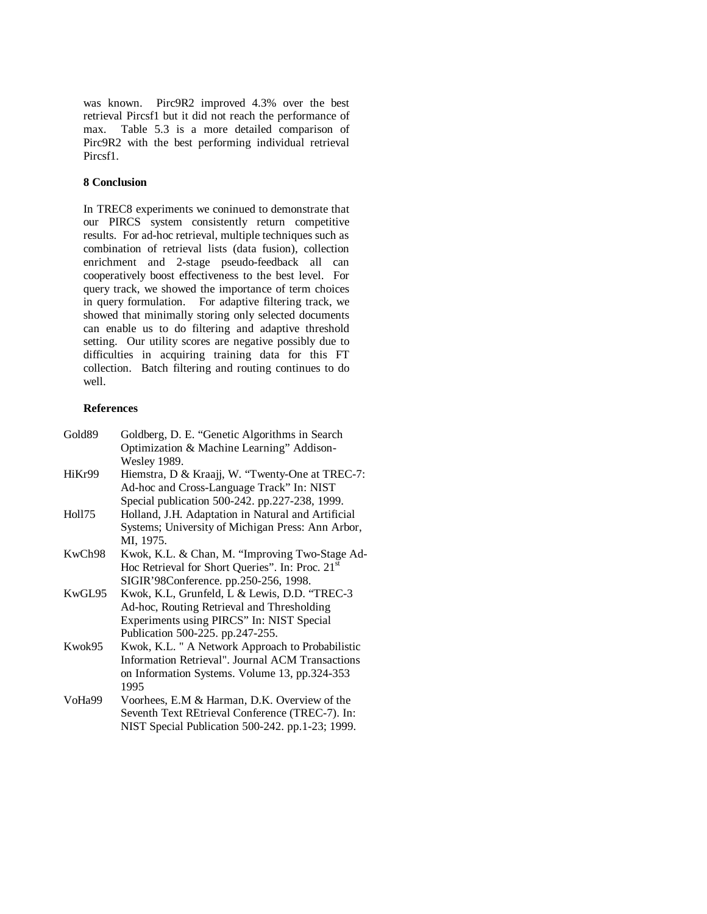was known. Pirc9R2 improved 4.3% over the best retrieval Pircsf1 but it did not reach the performance of max. Table 5.3 is a more detailed comparison of Pirc9R2 with the best performing individual retrieval Pircsf1.

# **8 Conclusion**

In TREC8 experiments we coninued to demonstrate that our PIRCS system consistently return competitive results. For ad-hoc retrieval, multiple techniques such as combination of retrieval lists (data fusion), collection enrichment and 2-stage pseudo-feedback all can cooperatively boost effectiveness to the best level. For query track, we showed the importance of term choices in query formulation. For adaptive filtering track, we showed that minimally storing only selected documents can enable us to do filtering and adaptive threshold setting. Our utility scores are negative possibly due to difficulties in acquiring training data for this FT collection. Batch filtering and routing continues to do well.

# **References**

| Gold89 | Goldberg, D. E. "Genetic Algorithms in Search"               |
|--------|--------------------------------------------------------------|
|        | Optimization & Machine Learning" Addison-                    |
|        | <b>Wesley 1989.</b>                                          |
| HiKr99 | Hiemstra, D & Kraajj, W. "Twenty-One at TREC-7:              |
|        | Ad-hoc and Cross-Language Track" In: NIST                    |
|        | Special publication 500-242. pp.227-238, 1999.               |
| Holl75 | Holland, J.H. Adaptation in Natural and Artificial           |
|        | Systems; University of Michigan Press: Ann Arbor,            |
|        | MI, 1975.                                                    |
| KwCh98 | Kwok, K.L. & Chan, M. "Improving Two-Stage Ad-               |
|        | Hoc Retrieval for Short Queries". In: Proc. 21 <sup>st</sup> |
|        | SIGIR'98Conference. pp.250-256, 1998.                        |
| KwGL95 | Kwok, K.L, Grunfeld, L & Lewis, D.D. "TREC-3                 |
|        | Ad-hoc, Routing Retrieval and Thresholding                   |
|        | Experiments using PIRCS" In: NIST Special                    |
|        | Publication 500-225. pp.247-255.                             |
| Kwok95 | Kwok, K.L. " A Network Approach to Probabilistic             |
|        | Information Retrieval". Journal ACM Transactions             |
|        | on Information Systems. Volume 13, pp.324-353                |
|        | 1995                                                         |
| VoHa99 | Voorhees, E.M & Harman, D.K. Overview of the                 |
|        | Seventh Text REtrieval Conference (TREC-7). In:              |
|        | NIST Special Publication 500-242. pp.1-23; 1999.             |
|        |                                                              |